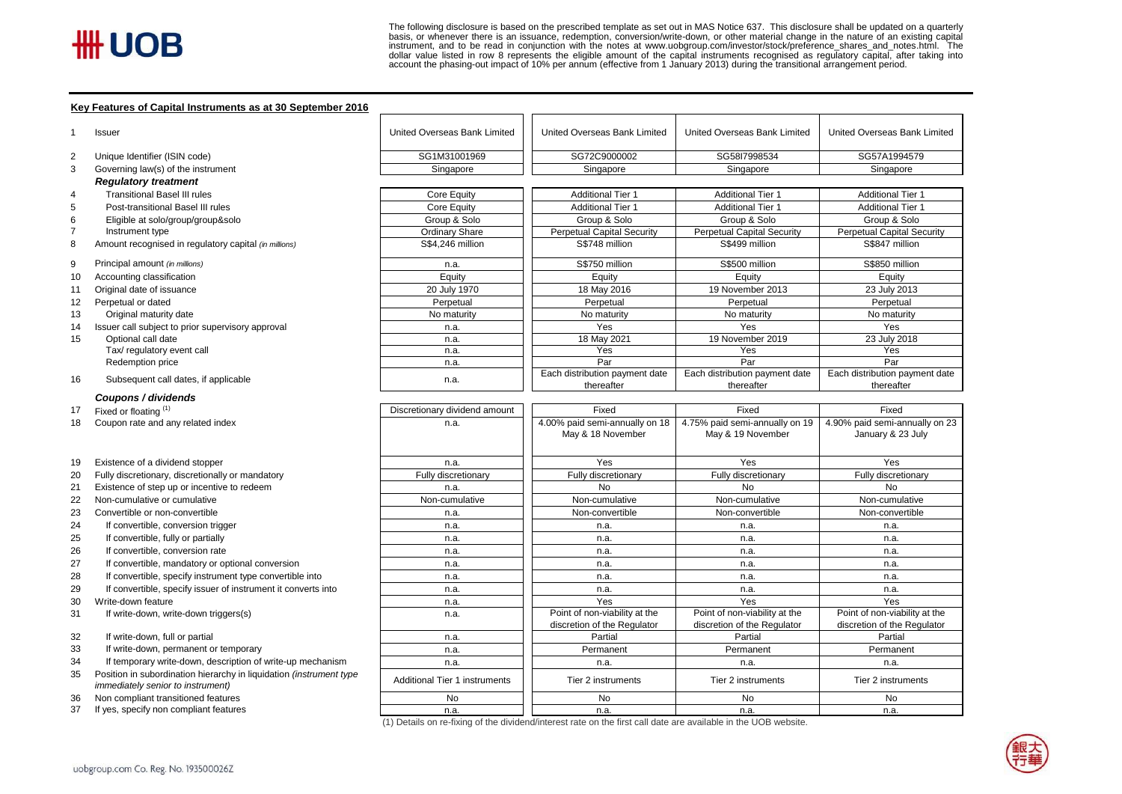basis, or whenever there is an issuance, redemption, conversion/write-down, or other material change in the nature of an existing capital<br>instrument, and to be read in conjunction with the notes at www.uobgroup.com/investo The following disclosure is based on the prescribed template as set out in MAS Notice 637. This disclosure shall be updated on a quarterly

#### **Key Features of Capital Instruments as at 30 September 2016**

| SG1M31001969<br>SG58I7998534<br>Unique Identifier (ISIN code)<br>SG72C9000002<br>SG57A1994579<br>Governing law(s) of the instrument<br>Singapore<br>Singapore<br>Singapore<br>Singapore<br><b>Regulatory treatment</b><br><b>Transitional Basel III rules</b><br>Core Equity<br><b>Additional Tier 1</b><br><b>Additional Tier 1</b><br><b>Additional Tier 1</b><br>Post-transitional Basel III rules<br>Core Equity<br><b>Additional Tier 1</b><br><b>Additional Tier 1</b><br><b>Additional Tier 1</b><br>Group & Solo<br>Group & Solo<br>Group & Solo<br>Group & Solo<br>Eligible at solo/group/group&solo<br><b>Ordinary Share</b><br><b>Perpetual Capital Security</b><br><b>Perpetual Capital Security</b><br><b>Perpetual Capital Security</b><br>Instrument type<br>Amount recognised in regulatory capital (in millions)<br>S\$499 million<br>S\$847 million<br>S\$4,246 million<br>S\$748 million<br>Principal amount (in millions)<br>S\$750 million<br>S\$500 million<br>S\$850 million<br>n.a.<br>Equity<br>Accounting classification<br>Equity<br>Equity<br>Equity<br>Original date of issuance<br>20 July 1970<br>18 May 2016<br>19 November 2013<br>23 July 2013<br>Perpetual or dated<br>Perpetual<br>Perpetual<br>Perpetual<br>Perpetual<br>Original maturity date<br>No maturity<br>No maturity<br>No maturity<br>No maturity<br>Yes<br>Issuer call subject to prior supervisory approval<br>Yes<br>Yes<br>n.a.<br>Optional call date<br>18 May 2021<br>19 November 2019<br>23 July 2018<br>n.a.<br>Tax/ regulatory event call<br>Yes<br>Yes<br>Yes<br>n.a.<br>Par<br>Par<br>Par<br>Redemption price<br>n.a.<br>Each distribution payment date<br>Each distribution payment date<br>Each distribution payment date<br>Subsequent call dates, if applicable<br>n.a.<br>thereafter<br>thereafter<br>thereafter<br>Coupons / dividends<br>Fixed<br>Fixed<br>Fixed or floating (1)<br>Fixed<br>Discretionary dividend amount<br>4.00% paid semi-annually on 18<br>4.75% paid semi-annually on 19<br>4.90% paid semi-annually on 23<br>Coupon rate and any related index<br>n.a.<br>May & 18 November<br>May & 19 November<br>January & 23 July<br>Existence of a dividend stopper<br>Yes<br>Yes<br>Yes<br>n.a.<br>Fully discretionary, discretionally or mandatory<br>Fully discretionary<br>Fully discretionary<br>Fully discretionary<br>Fully discretionary<br>Existence of step up or incentive to redeem<br><b>No</b><br>No<br><b>No</b><br>n.a.<br>Non-cumulative or cumulative<br>Non-cumulative<br>Non-cumulative<br>Non-cumulative<br>Non-cumulative<br>Convertible or non-convertible<br>Non-convertible<br>Non-convertible<br>Non-convertible<br>n.a.<br>If convertible, conversion trigger<br>n.a.<br>n.a.<br>n.a.<br>n.a.<br>If convertible, fully or partially<br>n.a.<br>n.a.<br>n.a.<br>n.a.<br>If convertible, conversion rate<br>n.a.<br>n.a.<br>n.a.<br>n.a.<br>If convertible, mandatory or optional conversion<br>n.a.<br>n.a.<br>n.a.<br>n.a.<br>If convertible, specify instrument type convertible into<br>n.a.<br>n.a.<br>n.a.<br>n.a.<br>If convertible, specify issuer of instrument it converts into<br>n.a.<br>n.a.<br>n.a.<br>n.a.<br>Yes<br>Yes<br>Yes<br>Write-down feature<br>n.a.<br>Point of non-viability at the<br>Point of non-viability at the<br>Point of non-viability at the<br>If write-down, write-down triggers(s)<br>n.a.<br>discretion of the Regulator<br>discretion of the Regulator<br>discretion of the Regulator<br>If write-down, full or partial<br>Partial<br>Partial<br>Partial<br>n.a.<br>If write-down, permanent or temporary<br>Permanent<br>Permanent<br>Permanent<br>n.a.<br>If temporary write-down, description of write-up mechanism<br>n.a.<br>n.a.<br>n.a.<br>n.a.<br>Position in subordination hierarchy in liquidation (instrument type<br><b>Additional Tier 1 instruments</b><br>Tier 2 instruments<br>Tier 2 instruments<br>Tier 2 instruments<br><i>immediately senior to instrument)</i><br>No<br>No<br>No<br>No<br>Non compliant transitioned features<br>If yes, specify non compliant features<br>37<br>n.a.<br>n.a.<br>n.a.<br>n.a. |    | Issuer | United Overseas Bank Limited | United Overseas Bank Limited | United Overseas Bank Limited | United Overseas Bank Limited |  |
|----------------------------------------------------------------------------------------------------------------------------------------------------------------------------------------------------------------------------------------------------------------------------------------------------------------------------------------------------------------------------------------------------------------------------------------------------------------------------------------------------------------------------------------------------------------------------------------------------------------------------------------------------------------------------------------------------------------------------------------------------------------------------------------------------------------------------------------------------------------------------------------------------------------------------------------------------------------------------------------------------------------------------------------------------------------------------------------------------------------------------------------------------------------------------------------------------------------------------------------------------------------------------------------------------------------------------------------------------------------------------------------------------------------------------------------------------------------------------------------------------------------------------------------------------------------------------------------------------------------------------------------------------------------------------------------------------------------------------------------------------------------------------------------------------------------------------------------------------------------------------------------------------------------------------------------------------------------------------------------------------------------------------------------------------------------------------------------------------------------------------------------------------------------------------------------------------------------------------------------------------------------------------------------------------------------------------------------------------------------------------------------------------------------------------------------------------------------------------------------------------------------------------------------------------------------------------------------------------------------------------------------------------------------------------------------------------------------------------------------------------------------------------------------------------------------------------------------------------------------------------------------------------------------------------------------------------------------------------------------------------------------------------------------------------------------------------------------------------------------------------------------------------------------------------------------------------------------------------------------------------------------------------------------------------------------------------------------------------------------------------------------------------------------------------------------------------------------------------------------------------------------------------------------------------------------------------------------------------------------------------------------------------------------------------------------------------------------------------------------------------------------------------------------------------------------------------------------------------------------------------------------------------------------------------------------------------------------------------------------------------------------------------------------------------------------------------------------------------------------------------------|----|--------|------------------------------|------------------------------|------------------------------|------------------------------|--|
|                                                                                                                                                                                                                                                                                                                                                                                                                                                                                                                                                                                                                                                                                                                                                                                                                                                                                                                                                                                                                                                                                                                                                                                                                                                                                                                                                                                                                                                                                                                                                                                                                                                                                                                                                                                                                                                                                                                                                                                                                                                                                                                                                                                                                                                                                                                                                                                                                                                                                                                                                                                                                                                                                                                                                                                                                                                                                                                                                                                                                                                                                                                                                                                                                                                                                                                                                                                                                                                                                                                                                                                                                                                                                                                                                                                                                                                                                                                                                                                                                                                                                                                                  | 2  |        |                              |                              |                              |                              |  |
|                                                                                                                                                                                                                                                                                                                                                                                                                                                                                                                                                                                                                                                                                                                                                                                                                                                                                                                                                                                                                                                                                                                                                                                                                                                                                                                                                                                                                                                                                                                                                                                                                                                                                                                                                                                                                                                                                                                                                                                                                                                                                                                                                                                                                                                                                                                                                                                                                                                                                                                                                                                                                                                                                                                                                                                                                                                                                                                                                                                                                                                                                                                                                                                                                                                                                                                                                                                                                                                                                                                                                                                                                                                                                                                                                                                                                                                                                                                                                                                                                                                                                                                                  | 3  |        |                              |                              |                              |                              |  |
|                                                                                                                                                                                                                                                                                                                                                                                                                                                                                                                                                                                                                                                                                                                                                                                                                                                                                                                                                                                                                                                                                                                                                                                                                                                                                                                                                                                                                                                                                                                                                                                                                                                                                                                                                                                                                                                                                                                                                                                                                                                                                                                                                                                                                                                                                                                                                                                                                                                                                                                                                                                                                                                                                                                                                                                                                                                                                                                                                                                                                                                                                                                                                                                                                                                                                                                                                                                                                                                                                                                                                                                                                                                                                                                                                                                                                                                                                                                                                                                                                                                                                                                                  |    |        |                              |                              |                              |                              |  |
|                                                                                                                                                                                                                                                                                                                                                                                                                                                                                                                                                                                                                                                                                                                                                                                                                                                                                                                                                                                                                                                                                                                                                                                                                                                                                                                                                                                                                                                                                                                                                                                                                                                                                                                                                                                                                                                                                                                                                                                                                                                                                                                                                                                                                                                                                                                                                                                                                                                                                                                                                                                                                                                                                                                                                                                                                                                                                                                                                                                                                                                                                                                                                                                                                                                                                                                                                                                                                                                                                                                                                                                                                                                                                                                                                                                                                                                                                                                                                                                                                                                                                                                                  | 4  |        |                              |                              |                              |                              |  |
|                                                                                                                                                                                                                                                                                                                                                                                                                                                                                                                                                                                                                                                                                                                                                                                                                                                                                                                                                                                                                                                                                                                                                                                                                                                                                                                                                                                                                                                                                                                                                                                                                                                                                                                                                                                                                                                                                                                                                                                                                                                                                                                                                                                                                                                                                                                                                                                                                                                                                                                                                                                                                                                                                                                                                                                                                                                                                                                                                                                                                                                                                                                                                                                                                                                                                                                                                                                                                                                                                                                                                                                                                                                                                                                                                                                                                                                                                                                                                                                                                                                                                                                                  | 5  |        |                              |                              |                              |                              |  |
|                                                                                                                                                                                                                                                                                                                                                                                                                                                                                                                                                                                                                                                                                                                                                                                                                                                                                                                                                                                                                                                                                                                                                                                                                                                                                                                                                                                                                                                                                                                                                                                                                                                                                                                                                                                                                                                                                                                                                                                                                                                                                                                                                                                                                                                                                                                                                                                                                                                                                                                                                                                                                                                                                                                                                                                                                                                                                                                                                                                                                                                                                                                                                                                                                                                                                                                                                                                                                                                                                                                                                                                                                                                                                                                                                                                                                                                                                                                                                                                                                                                                                                                                  | 6  |        |                              |                              |                              |                              |  |
|                                                                                                                                                                                                                                                                                                                                                                                                                                                                                                                                                                                                                                                                                                                                                                                                                                                                                                                                                                                                                                                                                                                                                                                                                                                                                                                                                                                                                                                                                                                                                                                                                                                                                                                                                                                                                                                                                                                                                                                                                                                                                                                                                                                                                                                                                                                                                                                                                                                                                                                                                                                                                                                                                                                                                                                                                                                                                                                                                                                                                                                                                                                                                                                                                                                                                                                                                                                                                                                                                                                                                                                                                                                                                                                                                                                                                                                                                                                                                                                                                                                                                                                                  |    |        |                              |                              |                              |                              |  |
|                                                                                                                                                                                                                                                                                                                                                                                                                                                                                                                                                                                                                                                                                                                                                                                                                                                                                                                                                                                                                                                                                                                                                                                                                                                                                                                                                                                                                                                                                                                                                                                                                                                                                                                                                                                                                                                                                                                                                                                                                                                                                                                                                                                                                                                                                                                                                                                                                                                                                                                                                                                                                                                                                                                                                                                                                                                                                                                                                                                                                                                                                                                                                                                                                                                                                                                                                                                                                                                                                                                                                                                                                                                                                                                                                                                                                                                                                                                                                                                                                                                                                                                                  | 8  |        |                              |                              |                              |                              |  |
|                                                                                                                                                                                                                                                                                                                                                                                                                                                                                                                                                                                                                                                                                                                                                                                                                                                                                                                                                                                                                                                                                                                                                                                                                                                                                                                                                                                                                                                                                                                                                                                                                                                                                                                                                                                                                                                                                                                                                                                                                                                                                                                                                                                                                                                                                                                                                                                                                                                                                                                                                                                                                                                                                                                                                                                                                                                                                                                                                                                                                                                                                                                                                                                                                                                                                                                                                                                                                                                                                                                                                                                                                                                                                                                                                                                                                                                                                                                                                                                                                                                                                                                                  | 9  |        |                              |                              |                              |                              |  |
|                                                                                                                                                                                                                                                                                                                                                                                                                                                                                                                                                                                                                                                                                                                                                                                                                                                                                                                                                                                                                                                                                                                                                                                                                                                                                                                                                                                                                                                                                                                                                                                                                                                                                                                                                                                                                                                                                                                                                                                                                                                                                                                                                                                                                                                                                                                                                                                                                                                                                                                                                                                                                                                                                                                                                                                                                                                                                                                                                                                                                                                                                                                                                                                                                                                                                                                                                                                                                                                                                                                                                                                                                                                                                                                                                                                                                                                                                                                                                                                                                                                                                                                                  | 10 |        |                              |                              |                              |                              |  |
|                                                                                                                                                                                                                                                                                                                                                                                                                                                                                                                                                                                                                                                                                                                                                                                                                                                                                                                                                                                                                                                                                                                                                                                                                                                                                                                                                                                                                                                                                                                                                                                                                                                                                                                                                                                                                                                                                                                                                                                                                                                                                                                                                                                                                                                                                                                                                                                                                                                                                                                                                                                                                                                                                                                                                                                                                                                                                                                                                                                                                                                                                                                                                                                                                                                                                                                                                                                                                                                                                                                                                                                                                                                                                                                                                                                                                                                                                                                                                                                                                                                                                                                                  | 11 |        |                              |                              |                              |                              |  |
|                                                                                                                                                                                                                                                                                                                                                                                                                                                                                                                                                                                                                                                                                                                                                                                                                                                                                                                                                                                                                                                                                                                                                                                                                                                                                                                                                                                                                                                                                                                                                                                                                                                                                                                                                                                                                                                                                                                                                                                                                                                                                                                                                                                                                                                                                                                                                                                                                                                                                                                                                                                                                                                                                                                                                                                                                                                                                                                                                                                                                                                                                                                                                                                                                                                                                                                                                                                                                                                                                                                                                                                                                                                                                                                                                                                                                                                                                                                                                                                                                                                                                                                                  | 12 |        |                              |                              |                              |                              |  |
|                                                                                                                                                                                                                                                                                                                                                                                                                                                                                                                                                                                                                                                                                                                                                                                                                                                                                                                                                                                                                                                                                                                                                                                                                                                                                                                                                                                                                                                                                                                                                                                                                                                                                                                                                                                                                                                                                                                                                                                                                                                                                                                                                                                                                                                                                                                                                                                                                                                                                                                                                                                                                                                                                                                                                                                                                                                                                                                                                                                                                                                                                                                                                                                                                                                                                                                                                                                                                                                                                                                                                                                                                                                                                                                                                                                                                                                                                                                                                                                                                                                                                                                                  | 13 |        |                              |                              |                              |                              |  |
|                                                                                                                                                                                                                                                                                                                                                                                                                                                                                                                                                                                                                                                                                                                                                                                                                                                                                                                                                                                                                                                                                                                                                                                                                                                                                                                                                                                                                                                                                                                                                                                                                                                                                                                                                                                                                                                                                                                                                                                                                                                                                                                                                                                                                                                                                                                                                                                                                                                                                                                                                                                                                                                                                                                                                                                                                                                                                                                                                                                                                                                                                                                                                                                                                                                                                                                                                                                                                                                                                                                                                                                                                                                                                                                                                                                                                                                                                                                                                                                                                                                                                                                                  | 14 |        |                              |                              |                              |                              |  |
|                                                                                                                                                                                                                                                                                                                                                                                                                                                                                                                                                                                                                                                                                                                                                                                                                                                                                                                                                                                                                                                                                                                                                                                                                                                                                                                                                                                                                                                                                                                                                                                                                                                                                                                                                                                                                                                                                                                                                                                                                                                                                                                                                                                                                                                                                                                                                                                                                                                                                                                                                                                                                                                                                                                                                                                                                                                                                                                                                                                                                                                                                                                                                                                                                                                                                                                                                                                                                                                                                                                                                                                                                                                                                                                                                                                                                                                                                                                                                                                                                                                                                                                                  | 15 |        |                              |                              |                              |                              |  |
|                                                                                                                                                                                                                                                                                                                                                                                                                                                                                                                                                                                                                                                                                                                                                                                                                                                                                                                                                                                                                                                                                                                                                                                                                                                                                                                                                                                                                                                                                                                                                                                                                                                                                                                                                                                                                                                                                                                                                                                                                                                                                                                                                                                                                                                                                                                                                                                                                                                                                                                                                                                                                                                                                                                                                                                                                                                                                                                                                                                                                                                                                                                                                                                                                                                                                                                                                                                                                                                                                                                                                                                                                                                                                                                                                                                                                                                                                                                                                                                                                                                                                                                                  |    |        |                              |                              |                              |                              |  |
|                                                                                                                                                                                                                                                                                                                                                                                                                                                                                                                                                                                                                                                                                                                                                                                                                                                                                                                                                                                                                                                                                                                                                                                                                                                                                                                                                                                                                                                                                                                                                                                                                                                                                                                                                                                                                                                                                                                                                                                                                                                                                                                                                                                                                                                                                                                                                                                                                                                                                                                                                                                                                                                                                                                                                                                                                                                                                                                                                                                                                                                                                                                                                                                                                                                                                                                                                                                                                                                                                                                                                                                                                                                                                                                                                                                                                                                                                                                                                                                                                                                                                                                                  |    |        |                              |                              |                              |                              |  |
|                                                                                                                                                                                                                                                                                                                                                                                                                                                                                                                                                                                                                                                                                                                                                                                                                                                                                                                                                                                                                                                                                                                                                                                                                                                                                                                                                                                                                                                                                                                                                                                                                                                                                                                                                                                                                                                                                                                                                                                                                                                                                                                                                                                                                                                                                                                                                                                                                                                                                                                                                                                                                                                                                                                                                                                                                                                                                                                                                                                                                                                                                                                                                                                                                                                                                                                                                                                                                                                                                                                                                                                                                                                                                                                                                                                                                                                                                                                                                                                                                                                                                                                                  | 16 |        |                              |                              |                              |                              |  |
|                                                                                                                                                                                                                                                                                                                                                                                                                                                                                                                                                                                                                                                                                                                                                                                                                                                                                                                                                                                                                                                                                                                                                                                                                                                                                                                                                                                                                                                                                                                                                                                                                                                                                                                                                                                                                                                                                                                                                                                                                                                                                                                                                                                                                                                                                                                                                                                                                                                                                                                                                                                                                                                                                                                                                                                                                                                                                                                                                                                                                                                                                                                                                                                                                                                                                                                                                                                                                                                                                                                                                                                                                                                                                                                                                                                                                                                                                                                                                                                                                                                                                                                                  |    |        |                              |                              |                              |                              |  |
|                                                                                                                                                                                                                                                                                                                                                                                                                                                                                                                                                                                                                                                                                                                                                                                                                                                                                                                                                                                                                                                                                                                                                                                                                                                                                                                                                                                                                                                                                                                                                                                                                                                                                                                                                                                                                                                                                                                                                                                                                                                                                                                                                                                                                                                                                                                                                                                                                                                                                                                                                                                                                                                                                                                                                                                                                                                                                                                                                                                                                                                                                                                                                                                                                                                                                                                                                                                                                                                                                                                                                                                                                                                                                                                                                                                                                                                                                                                                                                                                                                                                                                                                  | 17 |        |                              |                              |                              |                              |  |
|                                                                                                                                                                                                                                                                                                                                                                                                                                                                                                                                                                                                                                                                                                                                                                                                                                                                                                                                                                                                                                                                                                                                                                                                                                                                                                                                                                                                                                                                                                                                                                                                                                                                                                                                                                                                                                                                                                                                                                                                                                                                                                                                                                                                                                                                                                                                                                                                                                                                                                                                                                                                                                                                                                                                                                                                                                                                                                                                                                                                                                                                                                                                                                                                                                                                                                                                                                                                                                                                                                                                                                                                                                                                                                                                                                                                                                                                                                                                                                                                                                                                                                                                  | 18 |        |                              |                              |                              |                              |  |
|                                                                                                                                                                                                                                                                                                                                                                                                                                                                                                                                                                                                                                                                                                                                                                                                                                                                                                                                                                                                                                                                                                                                                                                                                                                                                                                                                                                                                                                                                                                                                                                                                                                                                                                                                                                                                                                                                                                                                                                                                                                                                                                                                                                                                                                                                                                                                                                                                                                                                                                                                                                                                                                                                                                                                                                                                                                                                                                                                                                                                                                                                                                                                                                                                                                                                                                                                                                                                                                                                                                                                                                                                                                                                                                                                                                                                                                                                                                                                                                                                                                                                                                                  |    |        |                              |                              |                              |                              |  |
|                                                                                                                                                                                                                                                                                                                                                                                                                                                                                                                                                                                                                                                                                                                                                                                                                                                                                                                                                                                                                                                                                                                                                                                                                                                                                                                                                                                                                                                                                                                                                                                                                                                                                                                                                                                                                                                                                                                                                                                                                                                                                                                                                                                                                                                                                                                                                                                                                                                                                                                                                                                                                                                                                                                                                                                                                                                                                                                                                                                                                                                                                                                                                                                                                                                                                                                                                                                                                                                                                                                                                                                                                                                                                                                                                                                                                                                                                                                                                                                                                                                                                                                                  | 19 |        |                              |                              |                              |                              |  |
|                                                                                                                                                                                                                                                                                                                                                                                                                                                                                                                                                                                                                                                                                                                                                                                                                                                                                                                                                                                                                                                                                                                                                                                                                                                                                                                                                                                                                                                                                                                                                                                                                                                                                                                                                                                                                                                                                                                                                                                                                                                                                                                                                                                                                                                                                                                                                                                                                                                                                                                                                                                                                                                                                                                                                                                                                                                                                                                                                                                                                                                                                                                                                                                                                                                                                                                                                                                                                                                                                                                                                                                                                                                                                                                                                                                                                                                                                                                                                                                                                                                                                                                                  | 20 |        |                              |                              |                              |                              |  |
|                                                                                                                                                                                                                                                                                                                                                                                                                                                                                                                                                                                                                                                                                                                                                                                                                                                                                                                                                                                                                                                                                                                                                                                                                                                                                                                                                                                                                                                                                                                                                                                                                                                                                                                                                                                                                                                                                                                                                                                                                                                                                                                                                                                                                                                                                                                                                                                                                                                                                                                                                                                                                                                                                                                                                                                                                                                                                                                                                                                                                                                                                                                                                                                                                                                                                                                                                                                                                                                                                                                                                                                                                                                                                                                                                                                                                                                                                                                                                                                                                                                                                                                                  | 21 |        |                              |                              |                              |                              |  |
|                                                                                                                                                                                                                                                                                                                                                                                                                                                                                                                                                                                                                                                                                                                                                                                                                                                                                                                                                                                                                                                                                                                                                                                                                                                                                                                                                                                                                                                                                                                                                                                                                                                                                                                                                                                                                                                                                                                                                                                                                                                                                                                                                                                                                                                                                                                                                                                                                                                                                                                                                                                                                                                                                                                                                                                                                                                                                                                                                                                                                                                                                                                                                                                                                                                                                                                                                                                                                                                                                                                                                                                                                                                                                                                                                                                                                                                                                                                                                                                                                                                                                                                                  | 22 |        |                              |                              |                              |                              |  |
|                                                                                                                                                                                                                                                                                                                                                                                                                                                                                                                                                                                                                                                                                                                                                                                                                                                                                                                                                                                                                                                                                                                                                                                                                                                                                                                                                                                                                                                                                                                                                                                                                                                                                                                                                                                                                                                                                                                                                                                                                                                                                                                                                                                                                                                                                                                                                                                                                                                                                                                                                                                                                                                                                                                                                                                                                                                                                                                                                                                                                                                                                                                                                                                                                                                                                                                                                                                                                                                                                                                                                                                                                                                                                                                                                                                                                                                                                                                                                                                                                                                                                                                                  | 23 |        |                              |                              |                              |                              |  |
|                                                                                                                                                                                                                                                                                                                                                                                                                                                                                                                                                                                                                                                                                                                                                                                                                                                                                                                                                                                                                                                                                                                                                                                                                                                                                                                                                                                                                                                                                                                                                                                                                                                                                                                                                                                                                                                                                                                                                                                                                                                                                                                                                                                                                                                                                                                                                                                                                                                                                                                                                                                                                                                                                                                                                                                                                                                                                                                                                                                                                                                                                                                                                                                                                                                                                                                                                                                                                                                                                                                                                                                                                                                                                                                                                                                                                                                                                                                                                                                                                                                                                                                                  | 24 |        |                              |                              |                              |                              |  |
|                                                                                                                                                                                                                                                                                                                                                                                                                                                                                                                                                                                                                                                                                                                                                                                                                                                                                                                                                                                                                                                                                                                                                                                                                                                                                                                                                                                                                                                                                                                                                                                                                                                                                                                                                                                                                                                                                                                                                                                                                                                                                                                                                                                                                                                                                                                                                                                                                                                                                                                                                                                                                                                                                                                                                                                                                                                                                                                                                                                                                                                                                                                                                                                                                                                                                                                                                                                                                                                                                                                                                                                                                                                                                                                                                                                                                                                                                                                                                                                                                                                                                                                                  | 25 |        |                              |                              |                              |                              |  |
|                                                                                                                                                                                                                                                                                                                                                                                                                                                                                                                                                                                                                                                                                                                                                                                                                                                                                                                                                                                                                                                                                                                                                                                                                                                                                                                                                                                                                                                                                                                                                                                                                                                                                                                                                                                                                                                                                                                                                                                                                                                                                                                                                                                                                                                                                                                                                                                                                                                                                                                                                                                                                                                                                                                                                                                                                                                                                                                                                                                                                                                                                                                                                                                                                                                                                                                                                                                                                                                                                                                                                                                                                                                                                                                                                                                                                                                                                                                                                                                                                                                                                                                                  | 26 |        |                              |                              |                              |                              |  |
|                                                                                                                                                                                                                                                                                                                                                                                                                                                                                                                                                                                                                                                                                                                                                                                                                                                                                                                                                                                                                                                                                                                                                                                                                                                                                                                                                                                                                                                                                                                                                                                                                                                                                                                                                                                                                                                                                                                                                                                                                                                                                                                                                                                                                                                                                                                                                                                                                                                                                                                                                                                                                                                                                                                                                                                                                                                                                                                                                                                                                                                                                                                                                                                                                                                                                                                                                                                                                                                                                                                                                                                                                                                                                                                                                                                                                                                                                                                                                                                                                                                                                                                                  | 27 |        |                              |                              |                              |                              |  |
|                                                                                                                                                                                                                                                                                                                                                                                                                                                                                                                                                                                                                                                                                                                                                                                                                                                                                                                                                                                                                                                                                                                                                                                                                                                                                                                                                                                                                                                                                                                                                                                                                                                                                                                                                                                                                                                                                                                                                                                                                                                                                                                                                                                                                                                                                                                                                                                                                                                                                                                                                                                                                                                                                                                                                                                                                                                                                                                                                                                                                                                                                                                                                                                                                                                                                                                                                                                                                                                                                                                                                                                                                                                                                                                                                                                                                                                                                                                                                                                                                                                                                                                                  | 28 |        |                              |                              |                              |                              |  |
|                                                                                                                                                                                                                                                                                                                                                                                                                                                                                                                                                                                                                                                                                                                                                                                                                                                                                                                                                                                                                                                                                                                                                                                                                                                                                                                                                                                                                                                                                                                                                                                                                                                                                                                                                                                                                                                                                                                                                                                                                                                                                                                                                                                                                                                                                                                                                                                                                                                                                                                                                                                                                                                                                                                                                                                                                                                                                                                                                                                                                                                                                                                                                                                                                                                                                                                                                                                                                                                                                                                                                                                                                                                                                                                                                                                                                                                                                                                                                                                                                                                                                                                                  | 29 |        |                              |                              |                              |                              |  |
|                                                                                                                                                                                                                                                                                                                                                                                                                                                                                                                                                                                                                                                                                                                                                                                                                                                                                                                                                                                                                                                                                                                                                                                                                                                                                                                                                                                                                                                                                                                                                                                                                                                                                                                                                                                                                                                                                                                                                                                                                                                                                                                                                                                                                                                                                                                                                                                                                                                                                                                                                                                                                                                                                                                                                                                                                                                                                                                                                                                                                                                                                                                                                                                                                                                                                                                                                                                                                                                                                                                                                                                                                                                                                                                                                                                                                                                                                                                                                                                                                                                                                                                                  | 30 |        |                              |                              |                              |                              |  |
|                                                                                                                                                                                                                                                                                                                                                                                                                                                                                                                                                                                                                                                                                                                                                                                                                                                                                                                                                                                                                                                                                                                                                                                                                                                                                                                                                                                                                                                                                                                                                                                                                                                                                                                                                                                                                                                                                                                                                                                                                                                                                                                                                                                                                                                                                                                                                                                                                                                                                                                                                                                                                                                                                                                                                                                                                                                                                                                                                                                                                                                                                                                                                                                                                                                                                                                                                                                                                                                                                                                                                                                                                                                                                                                                                                                                                                                                                                                                                                                                                                                                                                                                  | 31 |        |                              |                              |                              |                              |  |
|                                                                                                                                                                                                                                                                                                                                                                                                                                                                                                                                                                                                                                                                                                                                                                                                                                                                                                                                                                                                                                                                                                                                                                                                                                                                                                                                                                                                                                                                                                                                                                                                                                                                                                                                                                                                                                                                                                                                                                                                                                                                                                                                                                                                                                                                                                                                                                                                                                                                                                                                                                                                                                                                                                                                                                                                                                                                                                                                                                                                                                                                                                                                                                                                                                                                                                                                                                                                                                                                                                                                                                                                                                                                                                                                                                                                                                                                                                                                                                                                                                                                                                                                  |    |        |                              |                              |                              |                              |  |
|                                                                                                                                                                                                                                                                                                                                                                                                                                                                                                                                                                                                                                                                                                                                                                                                                                                                                                                                                                                                                                                                                                                                                                                                                                                                                                                                                                                                                                                                                                                                                                                                                                                                                                                                                                                                                                                                                                                                                                                                                                                                                                                                                                                                                                                                                                                                                                                                                                                                                                                                                                                                                                                                                                                                                                                                                                                                                                                                                                                                                                                                                                                                                                                                                                                                                                                                                                                                                                                                                                                                                                                                                                                                                                                                                                                                                                                                                                                                                                                                                                                                                                                                  | 32 |        |                              |                              |                              |                              |  |
|                                                                                                                                                                                                                                                                                                                                                                                                                                                                                                                                                                                                                                                                                                                                                                                                                                                                                                                                                                                                                                                                                                                                                                                                                                                                                                                                                                                                                                                                                                                                                                                                                                                                                                                                                                                                                                                                                                                                                                                                                                                                                                                                                                                                                                                                                                                                                                                                                                                                                                                                                                                                                                                                                                                                                                                                                                                                                                                                                                                                                                                                                                                                                                                                                                                                                                                                                                                                                                                                                                                                                                                                                                                                                                                                                                                                                                                                                                                                                                                                                                                                                                                                  | 33 |        |                              |                              |                              |                              |  |
|                                                                                                                                                                                                                                                                                                                                                                                                                                                                                                                                                                                                                                                                                                                                                                                                                                                                                                                                                                                                                                                                                                                                                                                                                                                                                                                                                                                                                                                                                                                                                                                                                                                                                                                                                                                                                                                                                                                                                                                                                                                                                                                                                                                                                                                                                                                                                                                                                                                                                                                                                                                                                                                                                                                                                                                                                                                                                                                                                                                                                                                                                                                                                                                                                                                                                                                                                                                                                                                                                                                                                                                                                                                                                                                                                                                                                                                                                                                                                                                                                                                                                                                                  | 34 |        |                              |                              |                              |                              |  |
|                                                                                                                                                                                                                                                                                                                                                                                                                                                                                                                                                                                                                                                                                                                                                                                                                                                                                                                                                                                                                                                                                                                                                                                                                                                                                                                                                                                                                                                                                                                                                                                                                                                                                                                                                                                                                                                                                                                                                                                                                                                                                                                                                                                                                                                                                                                                                                                                                                                                                                                                                                                                                                                                                                                                                                                                                                                                                                                                                                                                                                                                                                                                                                                                                                                                                                                                                                                                                                                                                                                                                                                                                                                                                                                                                                                                                                                                                                                                                                                                                                                                                                                                  | 35 |        |                              |                              |                              |                              |  |
|                                                                                                                                                                                                                                                                                                                                                                                                                                                                                                                                                                                                                                                                                                                                                                                                                                                                                                                                                                                                                                                                                                                                                                                                                                                                                                                                                                                                                                                                                                                                                                                                                                                                                                                                                                                                                                                                                                                                                                                                                                                                                                                                                                                                                                                                                                                                                                                                                                                                                                                                                                                                                                                                                                                                                                                                                                                                                                                                                                                                                                                                                                                                                                                                                                                                                                                                                                                                                                                                                                                                                                                                                                                                                                                                                                                                                                                                                                                                                                                                                                                                                                                                  | 36 |        |                              |                              |                              |                              |  |
|                                                                                                                                                                                                                                                                                                                                                                                                                                                                                                                                                                                                                                                                                                                                                                                                                                                                                                                                                                                                                                                                                                                                                                                                                                                                                                                                                                                                                                                                                                                                                                                                                                                                                                                                                                                                                                                                                                                                                                                                                                                                                                                                                                                                                                                                                                                                                                                                                                                                                                                                                                                                                                                                                                                                                                                                                                                                                                                                                                                                                                                                                                                                                                                                                                                                                                                                                                                                                                                                                                                                                                                                                                                                                                                                                                                                                                                                                                                                                                                                                                                                                                                                  |    |        |                              |                              |                              |                              |  |

(1) Details on re-fixing of the dividend/interest rate on the first call date are available in the UOB website.

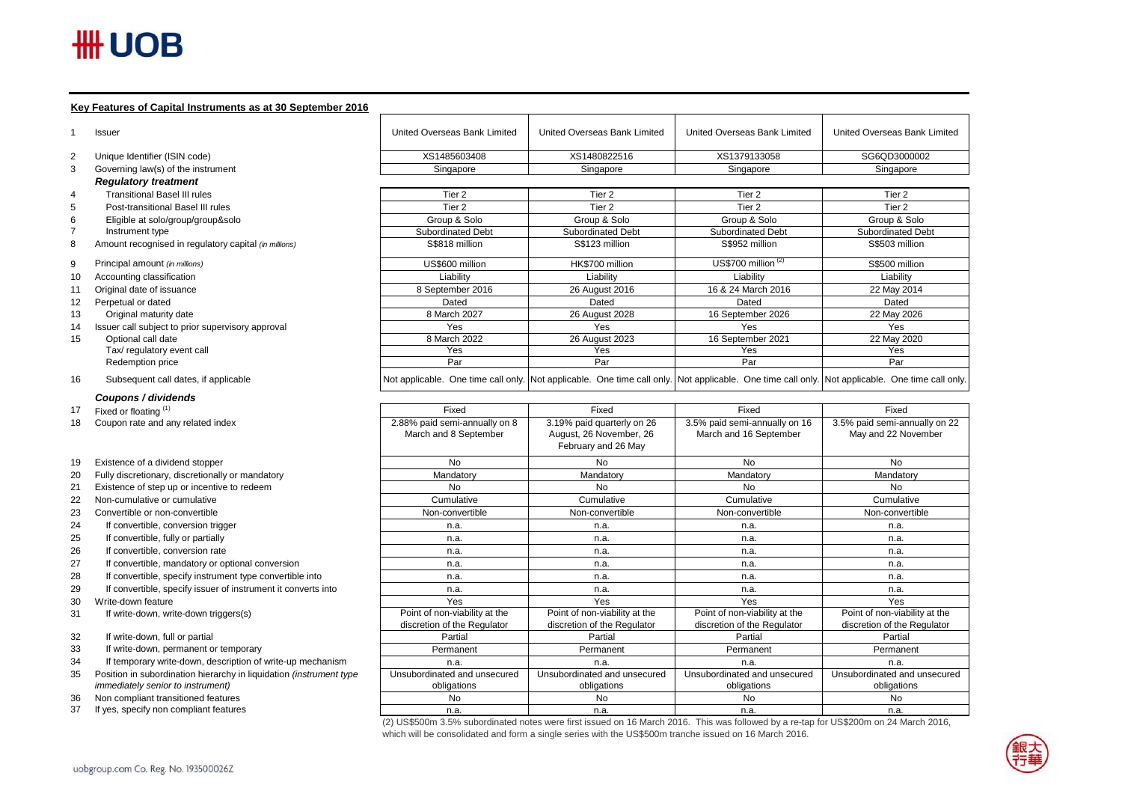# $H\text{H}$  UOB

 $12$ 

 $15$ 

30

### **Key Features of Capital Instruments as at 30 September 2016**

|          | ney I caldres or Oapharmstraments as at 50 Oeplember 2010                     |                               |                                                                                                                                                 |                               |                               |
|----------|-------------------------------------------------------------------------------|-------------------------------|-------------------------------------------------------------------------------------------------------------------------------------------------|-------------------------------|-------------------------------|
|          | Issuer                                                                        | United Overseas Bank Limited  | <b>United Overseas Bank Limited</b>                                                                                                             | United Overseas Bank Limited  | United Overseas Bank Limited  |
| 2        | Unique Identifier (ISIN code)                                                 | XS1485603408                  | XS1480822516                                                                                                                                    | XS1379133058                  | SG6QD3000002                  |
| 3        | Governing law(s) of the instrument                                            | Singapore                     | Singapore                                                                                                                                       | Singapore                     | Singapore                     |
|          | <b>Regulatory treatment</b>                                                   |                               |                                                                                                                                                 |                               |                               |
| 4        | <b>Transitional Basel III rules</b>                                           | Tier <sub>2</sub>             | Tier <sub>2</sub>                                                                                                                               | Tier <sub>2</sub>             | Tier <sub>2</sub>             |
| 5        | Post-transitional Basel III rules                                             | Tier <sub>2</sub>             | Tier <sub>2</sub>                                                                                                                               | Tier 2                        | Tier 2                        |
| 6        | Eligible at solo/group/group&solo                                             | Group & Solo                  | Group & Solo                                                                                                                                    | Group & Solo                  | Group & Solo                  |
|          | Instrument type                                                               | Subordinated Debt             | Subordinated Debt                                                                                                                               | Subordinated Debt             | Subordinated Debt             |
| 8        | Amount recognised in regulatory capital (in millions)                         | S\$818 million                | S\$123 million                                                                                                                                  | S\$952 million                | S\$503 million                |
| 9        | Principal amount (in millions)                                                | US\$600 million               | HK\$700 million                                                                                                                                 | US\$700 million $(2)$         | S\$500 million                |
| 10       | Accounting classification                                                     | Liability                     | Liability                                                                                                                                       | Liability                     | Liability                     |
| 11       | Original date of issuance                                                     | 8 September 2016              | 26 August 2016                                                                                                                                  | 16 & 24 March 2016            | 22 May 2014                   |
| 12       | Perpetual or dated                                                            | Dated                         | Dated                                                                                                                                           | Dated                         | Dated                         |
| 13       | Original maturity date                                                        | 8 March 2027                  | 26 August 2028                                                                                                                                  | 16 September 2026             | 22 May 2026                   |
| 14       | Issuer call subject to prior supervisory approval                             | Yes                           | Yes                                                                                                                                             | Yes                           | Yes                           |
| 15       | Optional call date                                                            | 8 March 2022                  | 26 August 2023                                                                                                                                  | 16 September 2021             | 22 May 2020                   |
|          | Tax/ regulatory event call                                                    | Yes                           | Yes                                                                                                                                             | Yes                           | Yes                           |
|          | Redemption price                                                              | Par                           | Par                                                                                                                                             | Par                           | Par                           |
| 16       | Subsequent call dates, if applicable                                          |                               | Not applicable. One time call only. Not applicable. One time call only. Not applicable. One time call only. Not applicable. One time call only. |                               |                               |
|          | Coupons / dividends                                                           |                               |                                                                                                                                                 |                               |                               |
| 17       | Fixed or floating (1)                                                         | Fixed                         | Fixed                                                                                                                                           | Fixed                         | Fixed                         |
| 18       | Coupon rate and any related index                                             | 2.88% paid semi-annually on 8 | 3.19% paid quarterly on 26                                                                                                                      | 3.5% paid semi-annually on 16 | 3.5% paid semi-annually on 22 |
|          |                                                                               | March and 8 September         | August, 26 November, 26<br>February and 26 May                                                                                                  | March and 16 September        | May and 22 November           |
| 19       | Existence of a dividend stopper                                               | <b>No</b>                     | <b>No</b>                                                                                                                                       | No                            | No                            |
| 20       | Fully discretionary, discretionally or mandatory                              | Mandatory                     | Mandatory                                                                                                                                       | Mandatory                     | Mandatory                     |
| 21       | Existence of step up or incentive to redeem                                   | <b>No</b>                     | No                                                                                                                                              | No                            | No                            |
| 22       | Non-cumulative or cumulative                                                  | Cumulative                    | Cumulative                                                                                                                                      | Cumulative                    | Cumulative                    |
| 23       | Convertible or non-convertible                                                | Non-convertible               | Non-convertible                                                                                                                                 | Non-convertible               | Non-convertible               |
| 24       | If convertible, conversion trigger                                            | n.a.                          | n.a.                                                                                                                                            | n.a.                          | n.a.                          |
| 25       | If convertible, fully or partially                                            | n.a.                          | n.a.                                                                                                                                            | n.a.                          | n.a.                          |
| 26       | If convertible, conversion rate                                               | n.a.                          | n.a.                                                                                                                                            | n.a.                          | n.a.                          |
| 27       | If convertible, mandatory or optional conversion                              | n.a.                          | n.a.                                                                                                                                            | n.a.                          | n.a.                          |
| 28       | If convertible, specify instrument type convertible into                      | n.a.                          | n.a.                                                                                                                                            | n.a.                          | n.a.                          |
| 29       | If convertible, specify issuer of instrument it converts into                 | n.a.                          | n.a.                                                                                                                                            | n.a.                          | n.a.                          |
| 30       | Write-down feature                                                            | Yes                           | Yes                                                                                                                                             | Yes                           | Yes                           |
| 31       | If write-down, write-down triggers(s)                                         | Point of non-viability at the | Point of non-viability at the                                                                                                                   | Point of non-viability at the | Point of non-viability at the |
|          |                                                                               | discretion of the Regulator   | discretion of the Regulator                                                                                                                     | discretion of the Regulator   | discretion of the Regulator   |
| 32       | If write-down, full or partial                                                | Partial                       | Partial                                                                                                                                         | Partial                       | Partial                       |
| 33       | If write-down, permanent or temporary                                         | Permanent                     | Permanent                                                                                                                                       | Permanent                     | Permanent                     |
| 34       | If temporary write-down, description of write-up mechanism                    | n.a.                          | n.a.                                                                                                                                            | n.a.                          | n.a.                          |
| 35       | Position in subordination hierarchy in liquidation (instrument type           | Unsubordinated and unsecured  | Unsubordinated and unsecured                                                                                                                    | Unsubordinated and unsecured  | Unsubordinated and unsecured  |
|          | immediately senior to instrument)                                             | obligations                   | obligations                                                                                                                                     | obligations                   | obligations                   |
|          |                                                                               |                               |                                                                                                                                                 |                               |                               |
| 36<br>37 | Non compliant transitioned features<br>If yes, specify non compliant features | <b>No</b><br>n.a.             | No<br>n.a.                                                                                                                                      | No<br>n.a.                    | No<br>n.a.                    |

(2) US\$500m 3.5% subordinated notes were first issued on 16 March 2016. This was followed by a re-tap for US\$200m on 24 March 2016, which will be consolidated and form a single series with the US\$500m tranche issued on 16 March 2016.